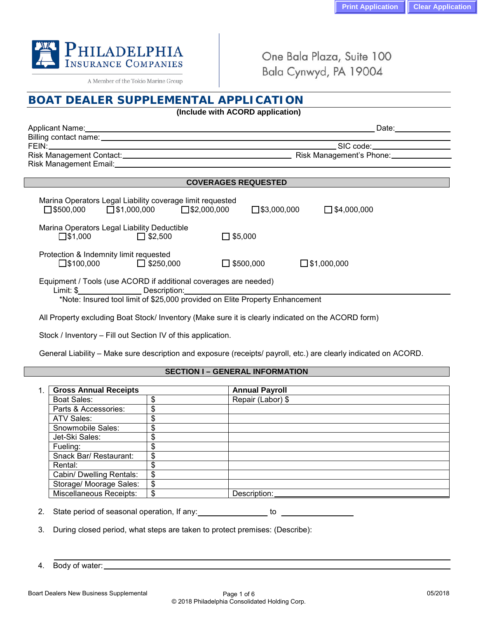

A Member of the Tokio Marine Group

One Bala Plaza, Suite 100 Bala Cynwyd, PA 19004

| (Include with ACORD application)                                                                                                                                                                                                     |                                             |
|--------------------------------------------------------------------------------------------------------------------------------------------------------------------------------------------------------------------------------------|---------------------------------------------|
| Applicant Name: 1996 and 2008 and 2009 and 2009 and 2009 and 2009 and 2009 and 2009 and 2009 and 2009 and 2009                                                                                                                       | Date: _______________                       |
|                                                                                                                                                                                                                                      |                                             |
|                                                                                                                                                                                                                                      |                                             |
| <b>COVERAGES REQUESTED</b>                                                                                                                                                                                                           |                                             |
| Marina Operators Legal Liability coverage limit requested<br>$\square$ \$500,000 $\square$ \$1,000,000 $\square$ \$2,000,000<br>Marina Operators Legal Liability Deductible<br>$\square$ \$1,000 $\square$ \$2,500<br>$\Box$ \$5,000 | $\square$ \$3,000,000<br>$\Box$ \$4,000,000 |
| Protection & Indemnity limit requested<br>$\square$ \$100,000 $\square$ \$250,000                                                                                                                                                    | $\Box$ \$500,000<br>$\square$ \$1,000,000   |
| Equipment / Tools (use ACORD if additional coverages are needed)<br>*Note: Insured tool limit of \$25,000 provided on Elite Property Enhancement                                                                                     |                                             |

Stock / Inventory – Fill out Section IV of this application.

General Liability – Make sure description and exposure (receipts/ payroll, etc.) are clearly indicated on ACORD.

### **SECTION I – GENERAL INFORMATION**

| <b>Gross Annual Receipts</b>   |    | <b>Annual Payroll</b> |
|--------------------------------|----|-----------------------|
| Boat Sales:                    | \$ | Repair (Labor) \$     |
| Parts & Accessories:           | \$ |                       |
| ATV Sales:                     | \$ |                       |
| Snowmobile Sales:              | \$ |                       |
| Jet-Ski Sales:                 | \$ |                       |
| Fueling:                       | \$ |                       |
| Snack Bar/ Restaurant:         | \$ |                       |
| Rental:                        | \$ |                       |
| Cabin/ Dwelling Rentals:       | \$ |                       |
| Storage/ Moorage Sales:        | \$ |                       |
| <b>Miscellaneous Receipts:</b> | \$ | Description:          |

2. State period of seasonal operation, If any: to the state period of seasonal operation, If any:

3. During closed period, what steps are taken to protect premises: (Describe):

4. Body of water: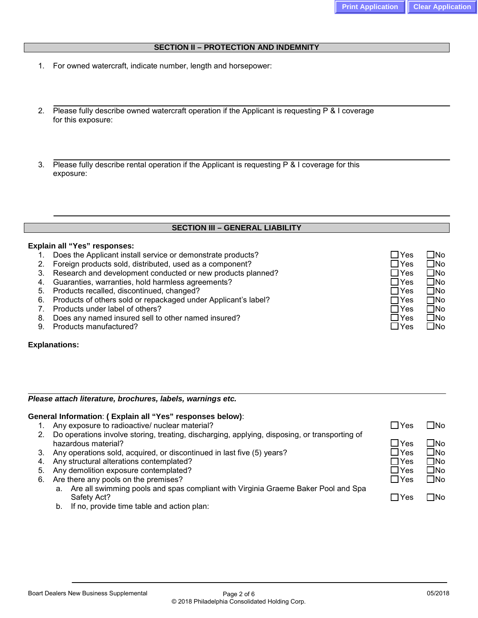### **SECTION II – PROTECTION AND INDEMNITY**

- 1. For owned watercraft, indicate number, length and horsepower:
- 2. Please fully describe owned watercraft operation if the Applicant is requesting P & I coverage for this exposure:
- 3. Please fully describe rental operation if the Applicant is requesting P & I coverage for this exposure:

## **SECTION III – GENERAL LIABILITY**

#### **Explain all "Yes" responses:**

- 1. Does the Applicant install service or demonstrate products?  $\Box$  Yes  $\Box$  Yes  $\Box$  No
- 2. Foreign products sold, distributed, used as a component?<br>3. Research and development conducted or new products planned?  $\Box$  Yes  $\Box$  No
- 3. Research and development conducted or new products planned?
- 4. Guaranties, warranties, hold harmless agreements?  $\Box$  Yes  $\Box$  Yes  $\Box$  No
- 
- 5. Products recalled, discontinued, changed? Yes No 6. Products of others sold or repackaged under Applicant's label?
- 7. Products under label of others?  $\Box$  Yes  $\Box$  Yes  $\Box$  Yes  $\Box$  No
- 8. Does any named insured sell to other named insured?<br>
9. Products manufactured?<br>
9. Products manufactured?
- 9. Products manufactured?

### **Explanations:**

### *Please attach literature, brochures, labels, warnings etc.*

### **General Information**: **( Explain all "Yes" responses below)**:

- 1. Any exposure to radioactive/ nuclear material?
- 2. Do operations involve storing, treating, discharging, applying, disposing, or transporting of hazardous material?
- 3. Any operations sold, acquired, or discontinued in last five (5) years?
- 4. Any structural alterations contemplated?
- 5. Any demolition exposure contemplated?
- 6. Are there any pools on the premises?
	- a. Are all swimming pools and spas compliant with Virginia Graeme Baker Pool and Spa Safety Act? Yes No
	- b. If no, provide time table and action plan:

| $\Box$ Yes<br>$\square$ Yes<br>$\Box$ Yes<br>$\Box$ Yes<br>∏Yes | □No<br>$\square$ No<br>$\square$ No<br>□No<br>∏No |
|-----------------------------------------------------------------|---------------------------------------------------|
|                                                                 |                                                   |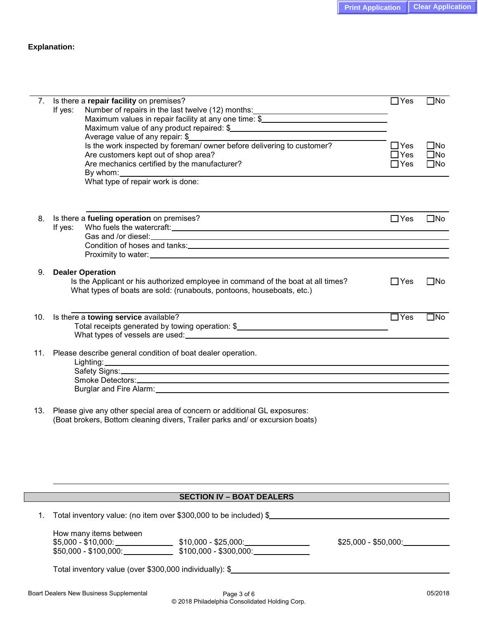### **Explanation:**

|     | 7. Is there a repair facility on premises?                                                                                                                                                                                     | $\Box$ Yes | $\square$ No |
|-----|--------------------------------------------------------------------------------------------------------------------------------------------------------------------------------------------------------------------------------|------------|--------------|
|     | Number of repairs in the last twelve (12) months:<br><u>Last and the set of repairs in the last twelve</u> (12) months:<br>If yes:                                                                                             |            |              |
|     | Maximum values in repair facility at any one time: \$                                                                                                                                                                          |            |              |
|     |                                                                                                                                                                                                                                |            |              |
|     | Average value of any repair: \$                                                                                                                                                                                                |            |              |
|     | Is the work inspected by foreman/ owner before delivering to customer?                                                                                                                                                         | $\Box$ Yes | $\square$ No |
|     | Are customers kept out of shop area?                                                                                                                                                                                           | $\Box$ Yes | $\square$ No |
|     | Are mechanics certified by the manufacturer?                                                                                                                                                                                   | $\Box$ Yes | $\square$ No |
|     |                                                                                                                                                                                                                                |            |              |
|     | What type of repair work is done:                                                                                                                                                                                              |            |              |
|     |                                                                                                                                                                                                                                |            |              |
|     |                                                                                                                                                                                                                                |            |              |
|     |                                                                                                                                                                                                                                |            |              |
| 8.  | Is there a fueling operation on premises?                                                                                                                                                                                      | $\Box$ Yes | $\square$ No |
|     | If yes:                                                                                                                                                                                                                        |            |              |
|     |                                                                                                                                                                                                                                |            |              |
|     | Condition of hoses and tanks: University of the set of the set of the set of the set of the set of the set of the set of the set of the set of the set of the set of the set of the set of the set of the set of the set of th |            |              |
|     | Proximity to water: University of the state of the state of the state of the state of the state of the state of the state of the state of the state of the state of the state of the state of the state of the state of the st |            |              |
| 9.  |                                                                                                                                                                                                                                |            |              |
|     | <b>Dealer Operation</b>                                                                                                                                                                                                        |            |              |
|     | Is the Applicant or his authorized employee in command of the boat at all times?<br>What types of boats are sold: (runabouts, pontoons, houseboats, etc.)                                                                      | $\Box$ Yes | $\square$ No |
|     |                                                                                                                                                                                                                                |            |              |
|     |                                                                                                                                                                                                                                |            |              |
| 10. | Is there a towing service available?                                                                                                                                                                                           | $\Box$ Yes | $\Box$ No    |
|     | Total receipts generated by towing operation: \$_________________________________                                                                                                                                              |            |              |
|     |                                                                                                                                                                                                                                |            |              |
|     |                                                                                                                                                                                                                                |            |              |
| 11. | Please describe general condition of boat dealer operation.                                                                                                                                                                    |            |              |
|     |                                                                                                                                                                                                                                |            |              |
|     |                                                                                                                                                                                                                                |            |              |
|     |                                                                                                                                                                                                                                |            |              |
|     | Burglar and Fire Alarm: North and Superior Alarm:                                                                                                                                                                              |            |              |
|     |                                                                                                                                                                                                                                |            |              |

13. Please give any other special area of concern or additional GL exposures: (Boat brokers, Bottom cleaning divers, Trailer parks and/ or excursion boats)

#### **SECTION IV – BOAT DEALERS**

| Total inventory value: (no item over \$300,000 to be included) \$ |                        |                                                  |                       |  |
|-------------------------------------------------------------------|------------------------|--------------------------------------------------|-----------------------|--|
|                                                                   | How many items between |                                                  |                       |  |
|                                                                   | $$50,000 - $100,000$ : | $$10,000 - $25,000$ :<br>$$100,000 - $300,000$ : | $$25,000 - $50,000$ : |  |
|                                                                   |                        |                                                  |                       |  |

Total inventory value (over \$300,000 individually): \$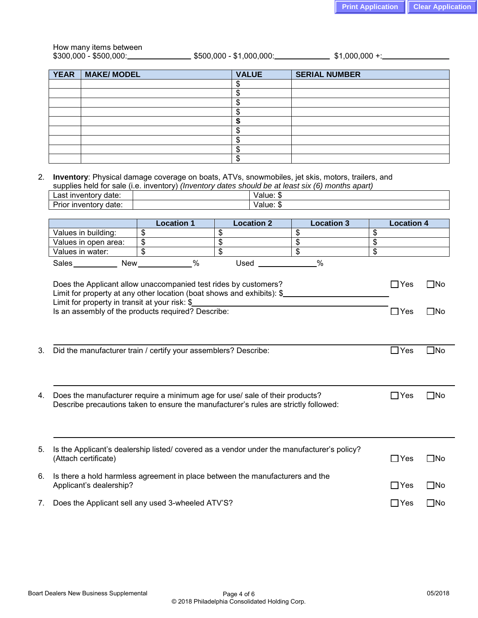# How many items between

 $$300,000 - $500,000:$   $$500,000 - $500,000 - $1,000,000:$   $$1,000,000 +$   $$1,000,000 +$ 

| <b>YEAR</b> | MAKE/MODEL | <b>VALUE</b> | <b>SERIAL NUMBER</b> |
|-------------|------------|--------------|----------------------|
|             |            |              |                      |
|             |            |              |                      |
|             |            |              |                      |
|             |            |              |                      |
|             |            |              |                      |
|             |            |              |                      |
|             |            |              |                      |
|             |            |              |                      |
|             |            |              |                      |

2. **Inventory**: Physical damage coverage on boats, ATVs, snowmobiles, jet skis, motors, trailers, and supplies held for sale (i.e. inventory) *(Inventory dates should be at least six (6) months apart)*

| ∟ast∴<br>entory *<br>$A - A$<br>invent<br>uale                       | alue:<br>w                  |
|----------------------------------------------------------------------|-----------------------------|
| -<br>----<br><b>Invent</b><br>---<br>. .<br>∽<br>ΤЮΙ<br>uale<br>11 M | $\sim$<br>۱ı.<br>alue,<br>w |
|                                                                      |                             |

|    |                                                                                                                                                                                                                                                                                                                  | <b>Location 1</b>         | <b>Location 2</b> | <b>Location 3</b> |    | <b>Location 4</b>        |                              |
|----|------------------------------------------------------------------------------------------------------------------------------------------------------------------------------------------------------------------------------------------------------------------------------------------------------------------|---------------------------|-------------------|-------------------|----|--------------------------|------------------------------|
|    | Values in building:                                                                                                                                                                                                                                                                                              | $\boldsymbol{\mathsf{S}}$ | \$                | \$                | \$ |                          |                              |
|    | Values in open area:                                                                                                                                                                                                                                                                                             | \$                        | \$                | \$                | \$ |                          |                              |
|    | Values in water:                                                                                                                                                                                                                                                                                                 | $\boldsymbol{\mathsf{S}}$ | \$                | $\frac{1}{2}$     | \$ |                          |                              |
|    | Sales New New                                                                                                                                                                                                                                                                                                    | $\%$                      | Used _            | $\frac{0}{0}$     |    |                          |                              |
|    | Does the Applicant allow unaccompanied test rides by customers?<br>Limit for property at any other location (boat shows and exhibits): \$<br>Limit for property in transit at your risk: \$<br><u> 1989 - Johann Stein, mars an de Francisco Barbara (</u><br>Is an assembly of the products required? Describe: |                           |                   |                   |    | $\Box$ Yes<br>$\Box$ Yes | $\square$ No<br>$\square$ No |
| 3. | Did the manufacturer train / certify your assemblers? Describe:                                                                                                                                                                                                                                                  |                           |                   |                   |    | $\Box$ Yes               | $\square$ No                 |
| 4. | Does the manufacturer require a minimum age for use/ sale of their products?<br>Describe precautions taken to ensure the manufacturer's rules are strictly followed:                                                                                                                                             |                           |                   |                   |    | $\Box$ Yes               | $\square$ No                 |
| 5. | Is the Applicant's dealership listed/covered as a vendor under the manufacturer's policy?<br>(Attach certificate)                                                                                                                                                                                                |                           |                   |                   |    | $\Box$ Yes               | $\square$ No                 |
| 6. | Is there a hold harmless agreement in place between the manufacturers and the<br>Applicant's dealership?                                                                                                                                                                                                         |                           |                   |                   |    | $\Box$ Yes               | $\square$ No                 |
| 7. | Does the Applicant sell any used 3-wheeled ATV'S?                                                                                                                                                                                                                                                                |                           |                   |                   |    | $\Box$ Yes               | $\square$ No                 |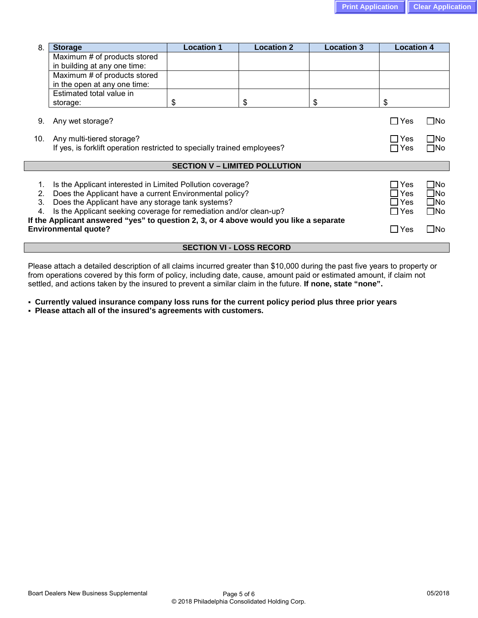| 8.                                                                       | <b>Storage</b>                                                                         | <b>Location 1</b>                    | <b>Location 2</b> | <b>Location 3</b> | <b>Location 4</b>        |              |
|--------------------------------------------------------------------------|----------------------------------------------------------------------------------------|--------------------------------------|-------------------|-------------------|--------------------------|--------------|
|                                                                          | Maximum # of products stored                                                           |                                      |                   |                   |                          |              |
|                                                                          | in building at any one time:                                                           |                                      |                   |                   |                          |              |
|                                                                          | Maximum # of products stored                                                           |                                      |                   |                   |                          |              |
|                                                                          | in the open at any one time:                                                           |                                      |                   |                   |                          |              |
|                                                                          | Estimated total value in                                                               |                                      |                   |                   |                          |              |
|                                                                          | storage:                                                                               | \$                                   | \$                | \$                | \$                       |              |
| 9.                                                                       | Any wet storage?                                                                       |                                      |                   |                   |                          | $\square$ No |
| 10.                                                                      | Any multi-tiered storage?                                                              |                                      |                   |                   | ⊟ Yes                    | $\square$ No |
|                                                                          | If yes, is forklift operation restricted to specially trained employees?               |                                      |                   |                   |                          |              |
|                                                                          |                                                                                        |                                      |                   |                   |                          | $\square$ No |
|                                                                          |                                                                                        | <b>SECTION V - LIMITED POLLUTION</b> |                   |                   |                          |              |
|                                                                          |                                                                                        |                                      |                   |                   |                          |              |
| 1.                                                                       | Is the Applicant interested in Limited Pollution coverage?                             |                                      |                   |                   | ∩ Yes                    | $\square$ No |
| 2.                                                                       | Does the Applicant have a current Environmental policy?                                |                                      |                   |                   | <b>Yes</b><br>$\Box$ Yes | $\square$ No |
|                                                                          | Does the Applicant have any storage tank systems?<br>3.                                |                                      |                   |                   |                          | $\square$ No |
| Is the Applicant seeking coverage for remediation and/or clean-up?<br>4. |                                                                                        |                                      |                   |                   |                          | $\square$ No |
|                                                                          | If the Applicant answered "yes" to question 2, 3, or 4 above would you like a separate |                                      |                   |                   |                          |              |
|                                                                          | <b>Environmental quote?</b>                                                            |                                      |                   |                   | ∏Yes                     | $\square$ No |
|                                                                          |                                                                                        | <b>SECTION VI - LOSS RECORD</b>      |                   |                   |                          |              |

Please attach a detailed description of all claims incurred greater than \$10,000 during the past five years to property or from operations covered by this form of policy, including date, cause, amount paid or estimated amount, if claim not settled, and actions taken by the insured to prevent a similar claim in the future. **If none, state "none".**

- **Currently valued insurance company loss runs for the current policy period plus three prior years**
- **Please attach all of the insured's agreements with customers.**